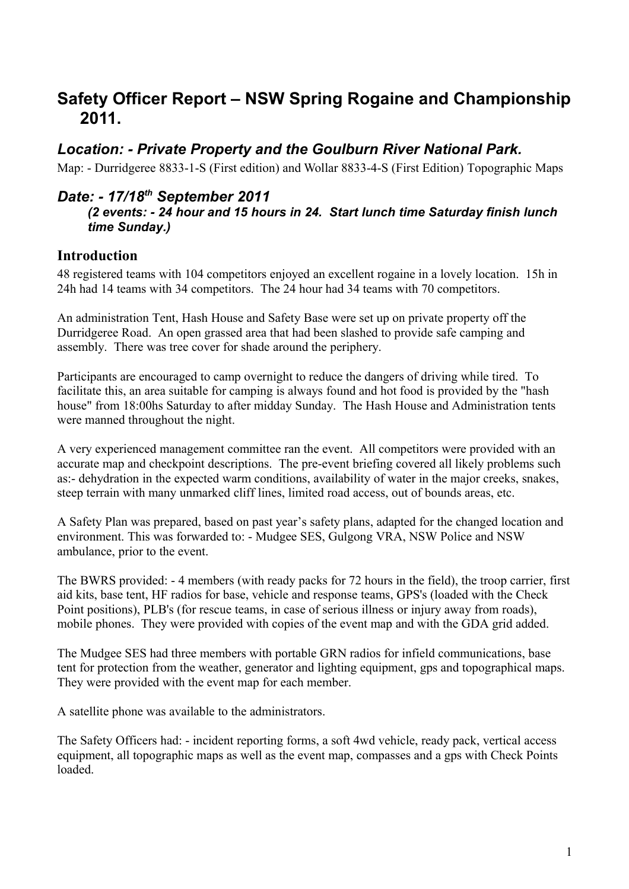# **Safety Officer Report – NSW Spring Rogaine and Championship 2011.**

## *Location: - Private Property and the Goulburn River National Park.*

Map: - Durridgeree 8833-1-S (First edition) and Wollar 8833-4-S (First Edition) Topographic Maps

### *Date: - 17/18th September 2011*

#### *(2 events: - 24 hour and 15 hours in 24. Start lunch time Saturday finish lunch time Sunday.)*

#### **Introduction**

48 registered teams with 104 competitors enjoyed an excellent rogaine in a lovely location. 15h in 24h had 14 teams with 34 competitors. The 24 hour had 34 teams with 70 competitors.

An administration Tent, Hash House and Safety Base were set up on private property off the Durridgeree Road. An open grassed area that had been slashed to provide safe camping and assembly. There was tree cover for shade around the periphery.

Participants are encouraged to camp overnight to reduce the dangers of driving while tired. To facilitate this, an area suitable for camping is always found and hot food is provided by the "hash house" from 18:00hs Saturday to after midday Sunday. The Hash House and Administration tents were manned throughout the night.

A very experienced management committee ran the event. All competitors were provided with an accurate map and checkpoint descriptions. The pre-event briefing covered all likely problems such as:- dehydration in the expected warm conditions, availability of water in the major creeks, snakes, steep terrain with many unmarked cliff lines, limited road access, out of bounds areas, etc.

A Safety Plan was prepared, based on past year's safety plans, adapted for the changed location and environment. This was forwarded to: - Mudgee SES, Gulgong VRA, NSW Police and NSW ambulance, prior to the event.

The BWRS provided: - 4 members (with ready packs for 72 hours in the field), the troop carrier, first aid kits, base tent, HF radios for base, vehicle and response teams, GPS's (loaded with the Check Point positions), PLB's (for rescue teams, in case of serious illness or injury away from roads), mobile phones. They were provided with copies of the event map and with the GDA grid added.

The Mudgee SES had three members with portable GRN radios for infield communications, base tent for protection from the weather, generator and lighting equipment, gps and topographical maps. They were provided with the event map for each member.

A satellite phone was available to the administrators.

The Safety Officers had: - incident reporting forms, a soft 4wd vehicle, ready pack, vertical access equipment, all topographic maps as well as the event map, compasses and a gps with Check Points loaded.